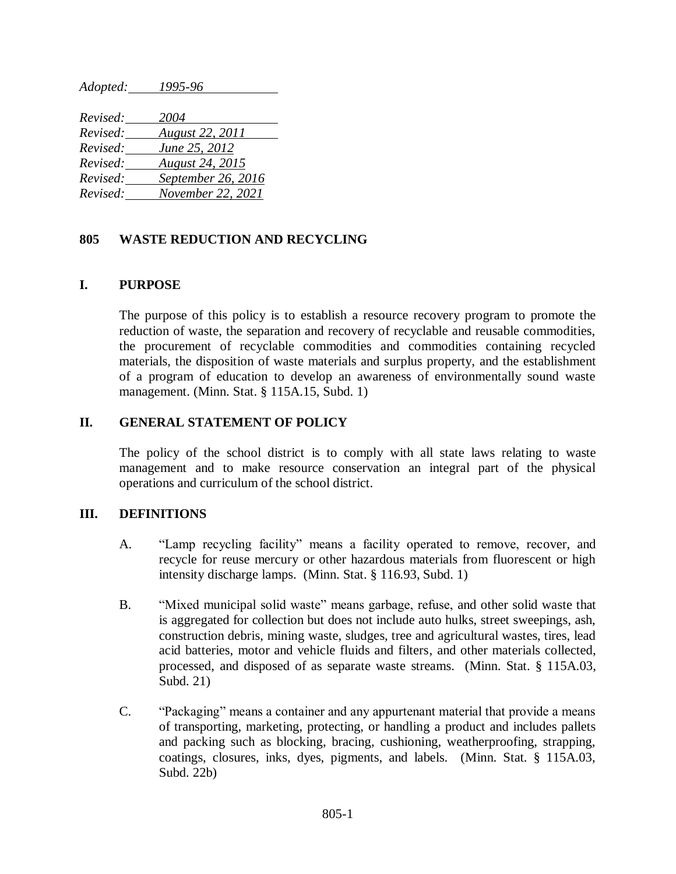*Adopted: 1995-96*

| Revised: | 2004                   |
|----------|------------------------|
| Revised: | <b>August 22, 2011</b> |
| Revised: | June 25, 2012          |
| Revised: | <b>August 24, 2015</b> |
| Revised: | September 26, 2016     |
| Revised: | November 22, 2021      |

## **805 WASTE REDUCTION AND RECYCLING**

### **I. PURPOSE**

The purpose of this policy is to establish a resource recovery program to promote the reduction of waste, the separation and recovery of recyclable and reusable commodities, the procurement of recyclable commodities and commodities containing recycled materials, the disposition of waste materials and surplus property, and the establishment of a program of education to develop an awareness of environmentally sound waste management. (Minn. Stat. § 115A.15, Subd. 1)

### **II. GENERAL STATEMENT OF POLICY**

The policy of the school district is to comply with all state laws relating to waste management and to make resource conservation an integral part of the physical operations and curriculum of the school district.

#### **III. DEFINITIONS**

- A. "Lamp recycling facility" means a facility operated to remove, recover, and recycle for reuse mercury or other hazardous materials from fluorescent or high intensity discharge lamps. (Minn. Stat. § 116.93, Subd. 1)
- B. "Mixed municipal solid waste" means garbage, refuse, and other solid waste that is aggregated for collection but does not include auto hulks, street sweepings, ash, construction debris, mining waste, sludges, tree and agricultural wastes, tires, lead acid batteries, motor and vehicle fluids and filters, and other materials collected, processed, and disposed of as separate waste streams. (Minn. Stat. § 115A.03, Subd. 21)
- C. "Packaging" means a container and any appurtenant material that provide a means of transporting, marketing, protecting, or handling a product and includes pallets and packing such as blocking, bracing, cushioning, weatherproofing, strapping, coatings, closures, inks, dyes, pigments, and labels. (Minn. Stat. § 115A.03, Subd. 22b)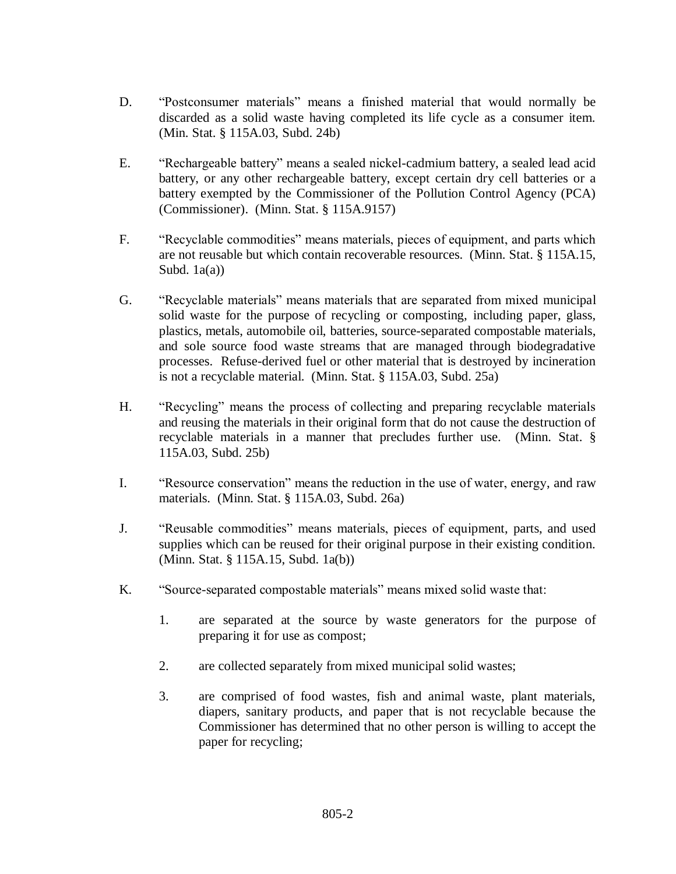- D. "Postconsumer materials" means a finished material that would normally be discarded as a solid waste having completed its life cycle as a consumer item. (Min. Stat. § 115A.03, Subd. 24b)
- E. "Rechargeable battery" means a sealed nickel-cadmium battery, a sealed lead acid battery, or any other rechargeable battery, except certain dry cell batteries or a battery exempted by the Commissioner of the Pollution Control Agency (PCA) (Commissioner). (Minn. Stat. § 115A.9157)
- F. "Recyclable commodities" means materials, pieces of equipment, and parts which are not reusable but which contain recoverable resources. (Minn. Stat. § 115A.15, Subd.  $1a(a)$ )
- G. "Recyclable materials" means materials that are separated from mixed municipal solid waste for the purpose of recycling or composting, including paper, glass, plastics, metals, automobile oil, batteries, source-separated compostable materials, and sole source food waste streams that are managed through biodegradative processes. Refuse-derived fuel or other material that is destroyed by incineration is not a recyclable material. (Minn. Stat. § 115A.03, Subd. 25a)
- H. "Recycling" means the process of collecting and preparing recyclable materials and reusing the materials in their original form that do not cause the destruction of recyclable materials in a manner that precludes further use. (Minn. Stat. § 115A.03, Subd. 25b)
- I. "Resource conservation" means the reduction in the use of water, energy, and raw materials. (Minn. Stat. § 115A.03, Subd. 26a)
- J. "Reusable commodities" means materials, pieces of equipment, parts, and used supplies which can be reused for their original purpose in their existing condition. (Minn. Stat. § 115A.15, Subd. 1a(b))
- K. "Source-separated compostable materials" means mixed solid waste that:
	- 1. are separated at the source by waste generators for the purpose of preparing it for use as compost;
	- 2. are collected separately from mixed municipal solid wastes;
	- 3. are comprised of food wastes, fish and animal waste, plant materials, diapers, sanitary products, and paper that is not recyclable because the Commissioner has determined that no other person is willing to accept the paper for recycling;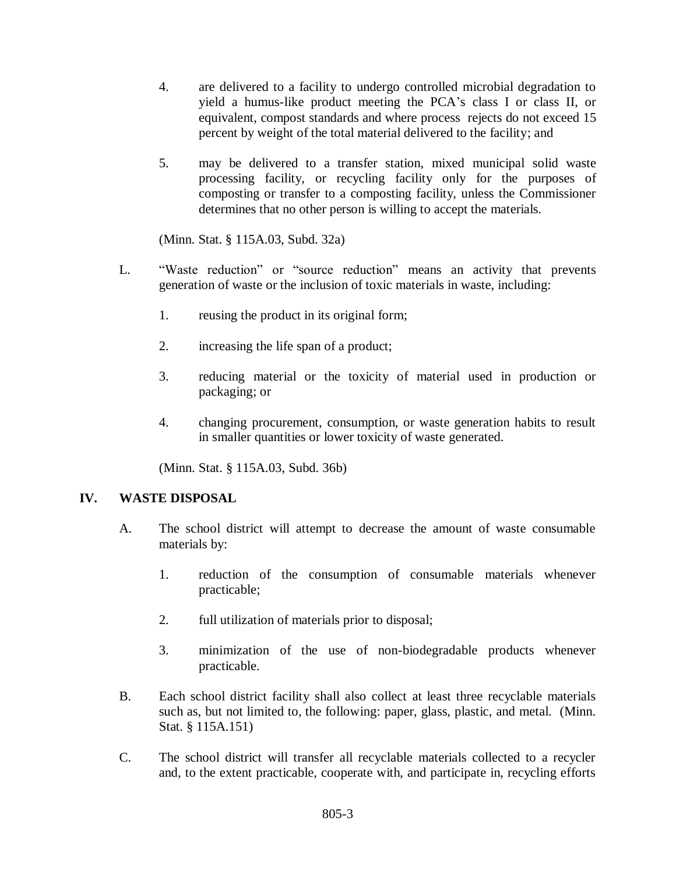- 4. are delivered to a facility to undergo controlled microbial degradation to yield a humus-like product meeting the PCA's class I or class II, or equivalent, compost standards and where process rejects do not exceed 15 percent by weight of the total material delivered to the facility; and
- 5. may be delivered to a transfer station, mixed municipal solid waste processing facility, or recycling facility only for the purposes of composting or transfer to a composting facility, unless the Commissioner determines that no other person is willing to accept the materials.

(Minn. Stat. § 115A.03, Subd. 32a)

- L. "Waste reduction" or "source reduction" means an activity that prevents generation of waste or the inclusion of toxic materials in waste, including:
	- 1. reusing the product in its original form;
	- 2. increasing the life span of a product;
	- 3. reducing material or the toxicity of material used in production or packaging; or
	- 4. changing procurement, consumption, or waste generation habits to result in smaller quantities or lower toxicity of waste generated.

(Minn. Stat. § 115A.03, Subd. 36b)

### **IV. WASTE DISPOSAL**

- A. The school district will attempt to decrease the amount of waste consumable materials by:
	- 1. reduction of the consumption of consumable materials whenever practicable;
	- 2. full utilization of materials prior to disposal;
	- 3. minimization of the use of non-biodegradable products whenever practicable.
- B. Each school district facility shall also collect at least three recyclable materials such as, but not limited to, the following: paper, glass, plastic, and metal. (Minn. Stat. § 115A.151)
- C. The school district will transfer all recyclable materials collected to a recycler and, to the extent practicable, cooperate with, and participate in, recycling efforts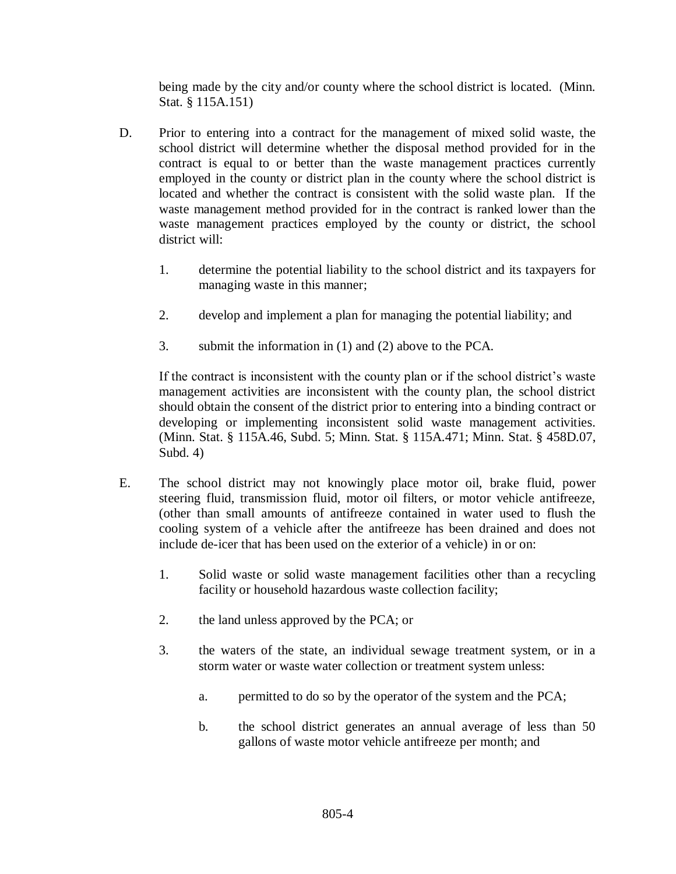being made by the city and/or county where the school district is located. (Minn. Stat. § 115A.151)

- D. Prior to entering into a contract for the management of mixed solid waste, the school district will determine whether the disposal method provided for in the contract is equal to or better than the waste management practices currently employed in the county or district plan in the county where the school district is located and whether the contract is consistent with the solid waste plan. If the waste management method provided for in the contract is ranked lower than the waste management practices employed by the county or district, the school district will:
	- 1. determine the potential liability to the school district and its taxpayers for managing waste in this manner;
	- 2. develop and implement a plan for managing the potential liability; and
	- 3. submit the information in (1) and (2) above to the PCA.

If the contract is inconsistent with the county plan or if the school district's waste management activities are inconsistent with the county plan, the school district should obtain the consent of the district prior to entering into a binding contract or developing or implementing inconsistent solid waste management activities. (Minn. Stat. § 115A.46, Subd. 5; Minn. Stat. § 115A.471; Minn. Stat. § 458D.07, Subd. 4)

- E. The school district may not knowingly place motor oil, brake fluid, power steering fluid, transmission fluid, motor oil filters, or motor vehicle antifreeze, (other than small amounts of antifreeze contained in water used to flush the cooling system of a vehicle after the antifreeze has been drained and does not include de-icer that has been used on the exterior of a vehicle) in or on:
	- 1. Solid waste or solid waste management facilities other than a recycling facility or household hazardous waste collection facility;
	- 2. the land unless approved by the PCA; or
	- 3. the waters of the state, an individual sewage treatment system, or in a storm water or waste water collection or treatment system unless:
		- a. permitted to do so by the operator of the system and the PCA;
		- b. the school district generates an annual average of less than 50 gallons of waste motor vehicle antifreeze per month; and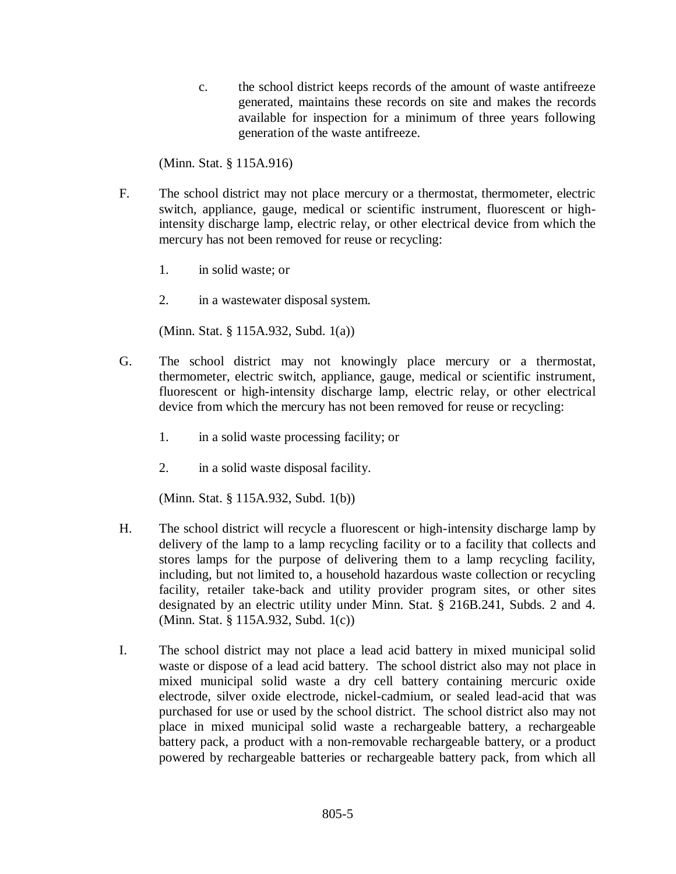c. the school district keeps records of the amount of waste antifreeze generated, maintains these records on site and makes the records available for inspection for a minimum of three years following generation of the waste antifreeze.

(Minn. Stat. § 115A.916)

- F. The school district may not place mercury or a thermostat, thermometer, electric switch, appliance, gauge, medical or scientific instrument, fluorescent or highintensity discharge lamp, electric relay, or other electrical device from which the mercury has not been removed for reuse or recycling:
	- 1. in solid waste; or
	- 2. in a wastewater disposal system.

(Minn. Stat. § 115A.932, Subd. 1(a))

- G. The school district may not knowingly place mercury or a thermostat, thermometer, electric switch, appliance, gauge, medical or scientific instrument, fluorescent or high-intensity discharge lamp, electric relay, or other electrical device from which the mercury has not been removed for reuse or recycling:
	- 1. in a solid waste processing facility; or
	- 2. in a solid waste disposal facility.

(Minn. Stat. § 115A.932, Subd. 1(b))

- H. The school district will recycle a fluorescent or high-intensity discharge lamp by delivery of the lamp to a lamp recycling facility or to a facility that collects and stores lamps for the purpose of delivering them to a lamp recycling facility, including, but not limited to, a household hazardous waste collection or recycling facility, retailer take-back and utility provider program sites, or other sites designated by an electric utility under Minn. Stat. § 216B.241, Subds. 2 and 4. (Minn. Stat. § 115A.932, Subd. 1(c))
- I. The school district may not place a lead acid battery in mixed municipal solid waste or dispose of a lead acid battery. The school district also may not place in mixed municipal solid waste a dry cell battery containing mercuric oxide electrode, silver oxide electrode, nickel-cadmium, or sealed lead-acid that was purchased for use or used by the school district. The school district also may not place in mixed municipal solid waste a rechargeable battery, a rechargeable battery pack, a product with a non-removable rechargeable battery, or a product powered by rechargeable batteries or rechargeable battery pack, from which all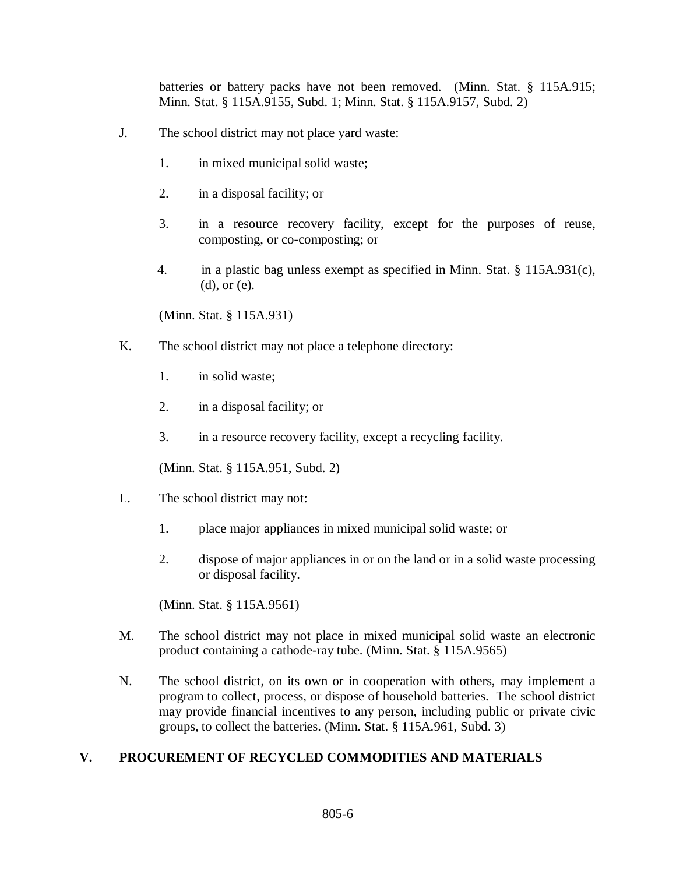batteries or battery packs have not been removed. (Minn. Stat. § 115A.915; Minn. Stat. § 115A.9155, Subd. 1; Minn. Stat. § 115A.9157, Subd. 2)

- J. The school district may not place yard waste:
	- 1. in mixed municipal solid waste;
	- 2. in a disposal facility; or
	- 3. in a resource recovery facility, except for the purposes of reuse, composting, or co-composting; or
	- 4. in a plastic bag unless exempt as specified in Minn. Stat. § 115A.931(c), (d), or (e).

(Minn. Stat. § 115A.931)

- K. The school district may not place a telephone directory:
	- 1. in solid waste;
	- 2. in a disposal facility; or
	- 3. in a resource recovery facility, except a recycling facility.

(Minn. Stat. § 115A.951, Subd. 2)

- L. The school district may not:
	- 1. place major appliances in mixed municipal solid waste; or
	- 2. dispose of major appliances in or on the land or in a solid waste processing or disposal facility.

(Minn. Stat. § 115A.9561)

- M. The school district may not place in mixed municipal solid waste an electronic product containing a cathode-ray tube. (Minn. Stat. § 115A.9565)
- N. The school district, on its own or in cooperation with others, may implement a program to collect, process, or dispose of household batteries. The school district may provide financial incentives to any person, including public or private civic groups, to collect the batteries. (Minn. Stat. § 115A.961, Subd. 3)

### **V. PROCUREMENT OF RECYCLED COMMODITIES AND MATERIALS**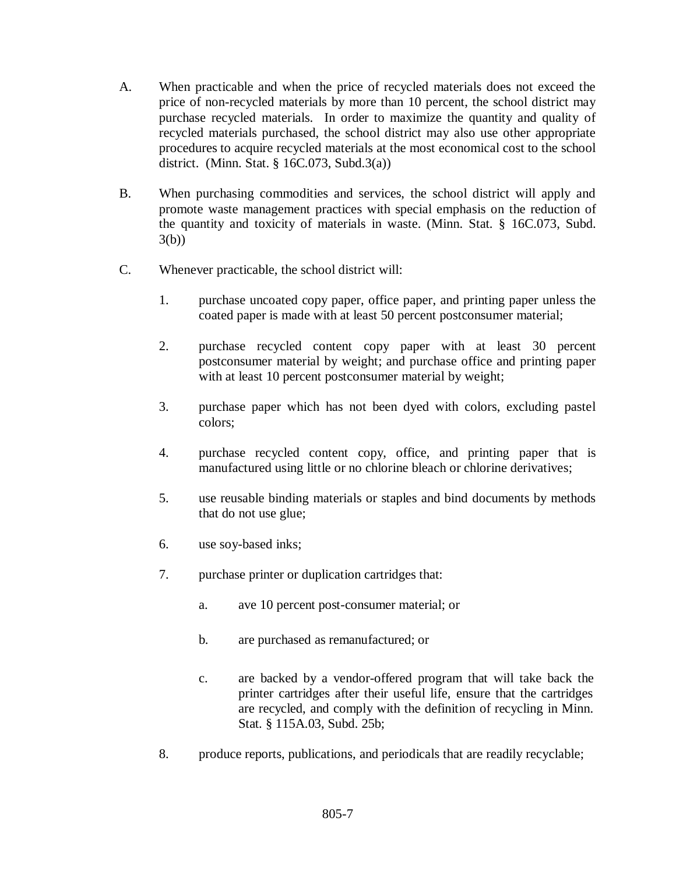- A. When practicable and when the price of recycled materials does not exceed the price of non-recycled materials by more than 10 percent, the school district may purchase recycled materials. In order to maximize the quantity and quality of recycled materials purchased, the school district may also use other appropriate procedures to acquire recycled materials at the most economical cost to the school district. (Minn. Stat. § 16C.073, Subd.3(a))
- B. When purchasing commodities and services, the school district will apply and promote waste management practices with special emphasis on the reduction of the quantity and toxicity of materials in waste. (Minn. Stat. § 16C.073, Subd. 3(b))
- C. Whenever practicable, the school district will:
	- 1. purchase uncoated copy paper, office paper, and printing paper unless the coated paper is made with at least 50 percent postconsumer material;
	- 2. purchase recycled content copy paper with at least 30 percent postconsumer material by weight; and purchase office and printing paper with at least 10 percent postconsumer material by weight;
	- 3. purchase paper which has not been dyed with colors, excluding pastel colors;
	- 4. purchase recycled content copy, office, and printing paper that is manufactured using little or no chlorine bleach or chlorine derivatives;
	- 5. use reusable binding materials or staples and bind documents by methods that do not use glue;
	- 6. use soy-based inks;
	- 7. purchase printer or duplication cartridges that:
		- a. ave 10 percent post-consumer material; or
		- b. are purchased as remanufactured; or
		- c. are backed by a vendor-offered program that will take back the printer cartridges after their useful life, ensure that the cartridges are recycled, and comply with the definition of recycling in Minn. Stat. § 115A.03, Subd. 25b;
	- 8. produce reports, publications, and periodicals that are readily recyclable;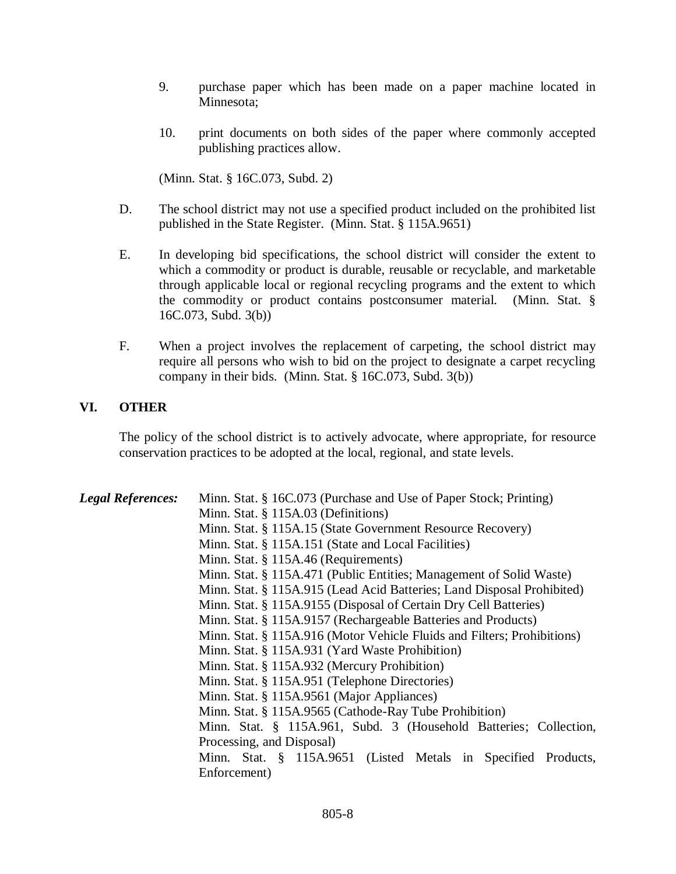- 9. purchase paper which has been made on a paper machine located in Minnesota;
- 10. print documents on both sides of the paper where commonly accepted publishing practices allow.

(Minn. Stat. § 16C.073, Subd. 2)

- D. The school district may not use a specified product included on the prohibited list published in the State Register. (Minn. Stat. § 115A.9651)
- E. In developing bid specifications, the school district will consider the extent to which a commodity or product is durable, reusable or recyclable, and marketable through applicable local or regional recycling programs and the extent to which the commodity or product contains postconsumer material. (Minn. Stat. § 16C.073, Subd. 3(b))
- F. When a project involves the replacement of carpeting, the school district may require all persons who wish to bid on the project to designate a carpet recycling company in their bids. (Minn. Stat. § 16C.073, Subd. 3(b))

# **VI. OTHER**

The policy of the school district is to actively advocate, where appropriate, for resource conservation practices to be adopted at the local, regional, and state levels.

| <b>Legal References:</b> | Minn. Stat. § 16C.073 (Purchase and Use of Paper Stock; Printing)       |
|--------------------------|-------------------------------------------------------------------------|
|                          | Minn. Stat. § 115A.03 (Definitions)                                     |
|                          | Minn. Stat. § 115A.15 (State Government Resource Recovery)              |
|                          | Minn. Stat. § 115A.151 (State and Local Facilities)                     |
|                          | Minn. Stat. § 115A.46 (Requirements)                                    |
|                          | Minn. Stat. § 115A.471 (Public Entities; Management of Solid Waste)     |
|                          | Minn. Stat. § 115A.915 (Lead Acid Batteries; Land Disposal Prohibited)  |
|                          | Minn. Stat. § 115A.9155 (Disposal of Certain Dry Cell Batteries)        |
|                          | Minn. Stat. § 115A.9157 (Rechargeable Batteries and Products)           |
|                          | Minn. Stat. § 115A.916 (Motor Vehicle Fluids and Filters; Prohibitions) |
|                          | Minn. Stat. § 115A.931 (Yard Waste Prohibition)                         |
|                          | Minn. Stat. § 115A.932 (Mercury Prohibition)                            |
|                          | Minn. Stat. § 115A.951 (Telephone Directories)                          |
|                          | Minn. Stat. § 115A.9561 (Major Appliances)                              |
|                          | Minn. Stat. § 115A.9565 (Cathode-Ray Tube Prohibition)                  |
|                          | Minn. Stat. § 115A.961, Subd. 3 (Household Batteries; Collection,       |
|                          | Processing, and Disposal)                                               |
|                          | Minn. Stat. § 115A.9651 (Listed Metals in Specified Products,           |
|                          | Enforcement)                                                            |
|                          |                                                                         |